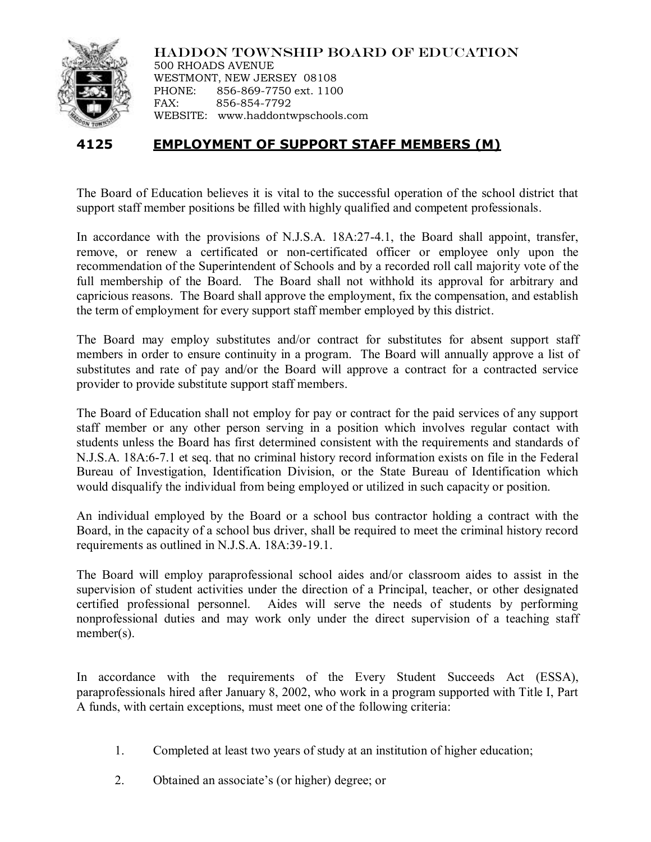

HADDON TOWNSHIP BOARD OF EDUCATION 500 RHOADS AVENUE WESTMONT, NEW JERSEY 08108 PHONE: 856-869-7750 ext. 1100 FAX: 856-854-7792 WEBSITE: www.haddontwpschools.com

## **4125 EMPLOYMENT OF SUPPORT STAFF MEMBERS (M)**

The Board of Education believes it is vital to the successful operation of the school district that support staff member positions be filled with highly qualified and competent professionals.

In accordance with the provisions of N.J.S.A. 18A:27-4.1, the Board shall appoint, transfer, remove, or renew a certificated or non-certificated officer or employee only upon the recommendation of the Superintendent of Schools and by a recorded roll call majority vote of the full membership of the Board. The Board shall not withhold its approval for arbitrary and capricious reasons. The Board shall approve the employment, fix the compensation, and establish the term of employment for every support staff member employed by this district.

The Board may employ substitutes and/or contract for substitutes for absent support staff members in order to ensure continuity in a program. The Board will annually approve a list of substitutes and rate of pay and/or the Board will approve a contract for a contracted service provider to provide substitute support staff members.

The Board of Education shall not employ for pay or contract for the paid services of any support staff member or any other person serving in a position which involves regular contact with students unless the Board has first determined consistent with the requirements and standards of N.J.S.A. 18A:6-7.1 et seq. that no criminal history record information exists on file in the Federal Bureau of Investigation, Identification Division, or the State Bureau of Identification which would disqualify the individual from being employed or utilized in such capacity or position.

An individual employed by the Board or a school bus contractor holding a contract with the Board, in the capacity of a school bus driver, shall be required to meet the criminal history record requirements as outlined in N.J.S.A. 18A:39-19.1.

The Board will employ paraprofessional school aides and/or classroom aides to assist in the supervision of student activities under the direction of a Principal, teacher, or other designated certified professional personnel. Aides will serve the needs of students by performing nonprofessional duties and may work only under the direct supervision of a teaching staff member(s).

In accordance with the requirements of the Every Student Succeeds Act (ESSA), paraprofessionals hired after January 8, 2002, who work in a program supported with Title I, Part A funds, with certain exceptions, must meet one of the following criteria:

- 1. Completed at least two years of study at an institution of higher education;
- 2. Obtained an associate's (or higher) degree; or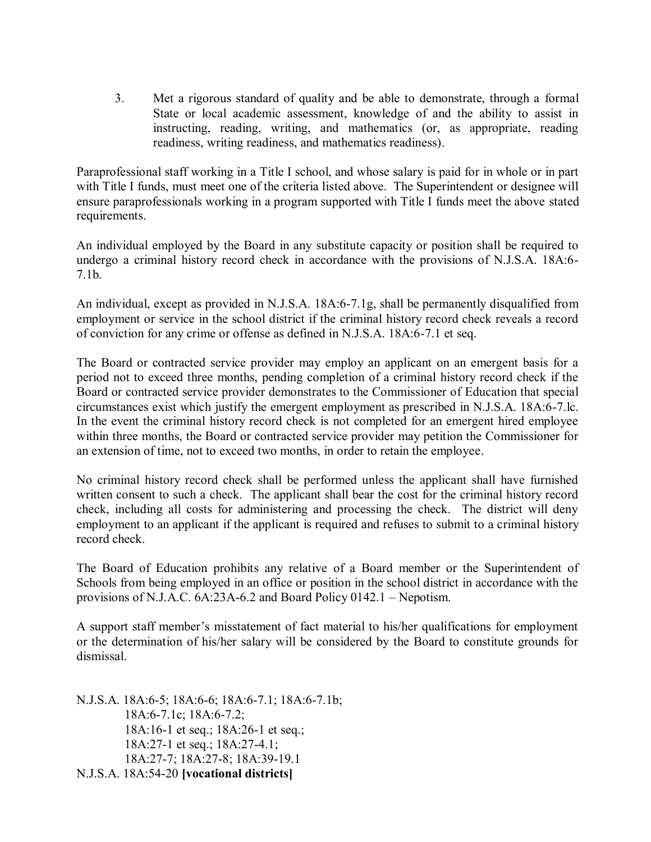3. Met a rigorous standard of quality and be able to demonstrate, through a formal State or local academic assessment, knowledge of and the ability to assist in instructing, reading, writing, and mathematics (or, as appropriate, reading readiness, writing readiness, and mathematics readiness).

Paraprofessional staff working in a Title I school, and whose salary is paid for in whole or in part with Title I funds, must meet one of the criteria listed above. The Superintendent or designee will ensure paraprofessionals working in a program supported with Title I funds meet the above stated requirements.

An individual employed by the Board in any substitute capacity or position shall be required to undergo a criminal history record check in accordance with the provisions of N.J.S.A. 18A:6- 7.1b.

An individual, except as provided in N.J.S.A. 18A:6-7.1g, shall be permanently disqualified from employment or service in the school district if the criminal history record check reveals a record of conviction for any crime or offense as defined in N.J.S.A. 18A:6-7.1 et seq.

The Board or contracted service provider may employ an applicant on an emergent basis for a period not to exceed three months, pending completion of a criminal history record check if the Board or contracted service provider demonstrates to the Commissioner of Education that special circumstances exist which justify the emergent employment as prescribed in N.J.S.A. 18A:6-7.lc. In the event the criminal history record check is not completed for an emergent hired employee within three months, the Board or contracted service provider may petition the Commissioner for an extension of time, not to exceed two months, in order to retain the employee.

No criminal history record check shall be performed unless the applicant shall have furnished written consent to such a check. The applicant shall bear the cost for the criminal history record check, including all costs for administering and processing the check. The district will deny employment to an applicant if the applicant is required and refuses to submit to a criminal history record check.

The Board of Education prohibits any relative of a Board member or the Superintendent of Schools from being employed in an office or position in the school district in accordance with the provisions of N.J.A.C. 6A:23A-6.2 and Board Policy 0142.1 – Nepotism.

A support staff member's misstatement of fact material to his/her qualifications for employment or the determination of his/her salary will be considered by the Board to constitute grounds for dismissal.

N.J.S.A. 18A:6-5; 18A:6-6; 18A:6-7.1; 18A:6-7.1b; 18A:6-7.1c; 18A:6-7.2; 18A:16-1 et seq.; 18A:26-1 et seq.; 18A:27-1 et seq.; 18A:27-4.1; 18A:27-7; 18A:27-8; 18A:39-19.1 N.J.S.A. 18A:54-20 **[vocational districts]**